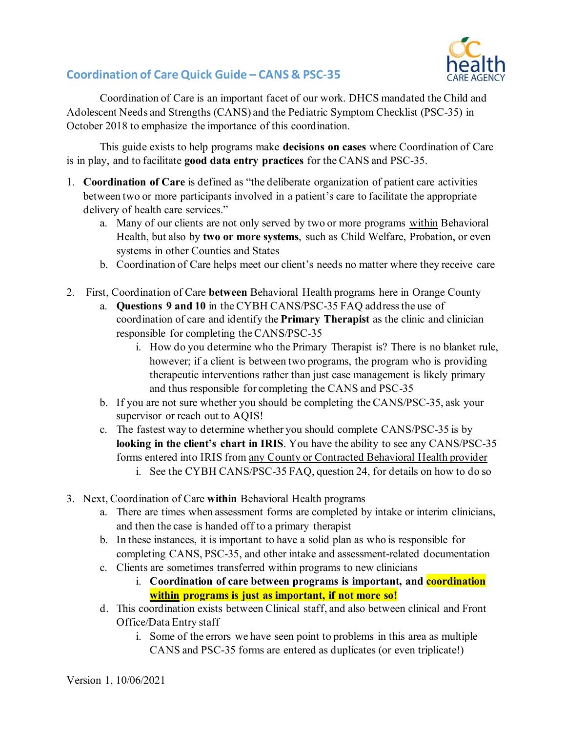

## **Coordination of Care Quick Guide – CANS & PSC-35**

Coordination of Care is an important facet of our work. DHCS mandated the Child and Adolescent Needs and Strengths (CANS) and the Pediatric Symptom Checklist (PSC-35) in October 2018 to emphasize the importance of this coordination.

This guide exists to help programs make **decisions on cases** where Coordination of Care is in play, and to facilitate **good data entry practices** for the CANS and PSC-35.

- 1. **Coordination of Care** is defined as "the deliberate organization of patient care activities between two or more participants involved in a patient's care to facilitate the appropriate delivery of health care services."
	- a. Many of our clients are not only served by two or more programs within Behavioral Health, but also by **two or more systems**, such as Child Welfare, Probation, or even systems in other Counties and States
	- b. Coordination of Care helps meet our client's needs no matter where they receive care
- 2. First, Coordination of Care **between** Behavioral Health programs here in Orange County
	- a. **Questions 9 and 10** in the CYBH CANS/PSC-35 FAQ address the use of coordination of care and identify the **Primary Therapist** as the clinic and clinician responsible for completing the CANS/PSC-35
		- i. How do you determine who the Primary Therapist is? There is no blanket rule, however; if a client is between two programs, the program who is providing therapeutic interventions rather than just case management is likely primary and thus responsible for completing the CANS and PSC-35
	- b. If you are not sure whether you should be completing the CANS/PSC-35, ask your supervisor or reach out to AQIS!
	- c. The fastest way to determine whether you should complete CANS/PSC-35 is by **looking in the client's chart in IRIS**. You have the ability to see any CANS/PSC-35 forms entered into IRIS from any County or Contracted Behavioral Health provider
		- i. See the CYBH CANS/PSC-35 FAQ, question 24, for details on how to do so
- 3. Next, Coordination of Care **within** Behavioral Health programs
	- a. There are times when assessment forms are completed by intake or interim clinicians, and then the case is handed off to a primary therapist
	- b. In these instances, it is important to have a solid plan as who is responsible for completing CANS, PSC-35, and other intake and assessment-related documentation
	- c. Clients are sometimes transferred within programs to new clinicians
		- i. **Coordination of care between programs is important, and coordination within programs is just as important, if not more so!**
	- d. This coordination exists between Clinical staff, and also between clinical and Front Office/Data Entry staff
		- i. Some of the errors we have seen point to problems in this area as multiple CANS and PSC-35 forms are entered as duplicates (or even triplicate!)